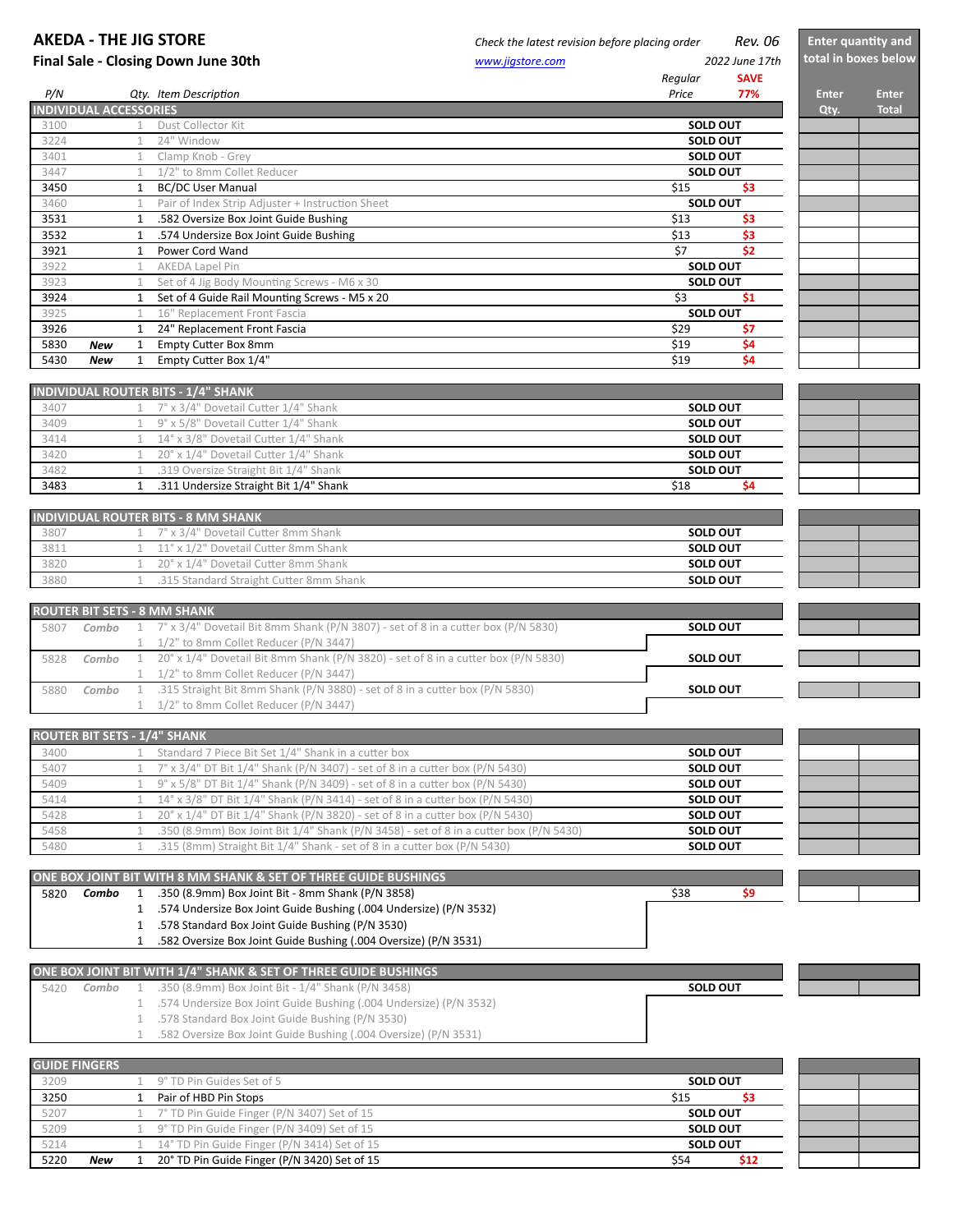## **AKEDA** - THE JIG STORE *Check the latest revision before placing order Rev.* 06 **Final Sale - Closing Down June 30th** *WALER SALE <b>WALER WWW.jigstore.com*</del> *www.jigstore.com Regular*  **SAVE**  *P/N Qty. Item DescripDon Price* **77% Enter Enter INDIVIDUAL ACCESSORIES Qty. Total** 3100 1 Dust Collector Kit 3224 1 24" Window 3401 1 Clamp Knob - Grey 3447 1 1/2" to 8mm Collet Reducer 3450 1 BC/DC User Manual 3460 1 Pair of Index Strip Adjuster + Instruction Sheet 3531 1 .582 Oversize Box Joint Guide Bushing 200 1 200 1 200 1 200 1 200 1 200 1 200 1 200 1 200 1 200 1 200 1 200 1 200 1 200 1 200 1 200 1 200 1 200 1 200 1 200 1 200 1 200 1 200 1 200 1 200 1 200 1 200 1 200 1 200 1 200 3532 1 .574 Undersize Box Joint Guide Bushing **1.1 2008** 1.574 Undersize Box Joint Guide Bushing **53** 1 **53** 1 3 **53** 3921 1 Power Cord Wand **57** \$2 3922 1 AKEDA Lapel Pin 3923 1 Set of 4 Jig Body Mounting Screws - M6 x 30 3924 1 Set of 4 Guide Rail Mounting Screws - M5 x 20 53 \$1 3925 1 16" Replacement Front Fascia 3926 1 24" Replacement Front Fascia **57 1 24" Replacement Front Fascia** \$7 5830 **New** 1 Empty Cutter Box 8mm 5430 **New** 1 Empty Cutter Box 1/4" **5430 <b>New** 1 Empty Cutter Box 1/4" **NDIVIDUAL ROUTER BITS - 1/4" SHANK** 3407  $1 \t 7^\circ \times 3/4''$  Dovetail Cutter  $1/4''$  Shank 3409  $1 \t9^\circ \times 5/8$ " Dovetail Cutter  $1/4$ " Shank  $3414$  14° x  $3/8$ " Dovetail Cutter  $1/4$ " Shank  $3420$  1  $20^{\circ} \times 1/4$ " Dovetail Cutter  $1/4$ " Shank 3482 1 .319 Oversize Straight Bit 1/4" Shank 3483 1 .311 Undersize Straight Bit 1/4" Shank \$18 **\$4 INDIVIDUAL ROUTER BITS - 8 MM SHANK** 3807 1 7° x 3/4" Dovetail Cutter 8mm Shank  $3811$  11° x 1/2" Dovetail Cutter 8mm<br> $3820$  1 20° x 1/4" Dovetail Cutter 8mm 20° x 1/4" Dovetail Cutter 8mm Shank **SOLD OUT SOLD OUT SOLD OUT SOLD OUT SOLD OUT SOLD OUT SOLD OUT SOLD OUT SOLD OUT Enter quantity and total in boxes below SOLD OUT SOLD OUT SOLD OUT SOLD OUT SOLD OUT SOLD OUT**  *2022 June 17th*  **SOLD OUT**

|      |       | <b>ROUTER BIT SETS - 8 MM SHANK</b>                                                                                     |                 |
|------|-------|-------------------------------------------------------------------------------------------------------------------------|-----------------|
| 5807 |       | <b>Combo</b> $1 \quad 7^\circ \times 3/4^\circ$ Dovetail Bit 8mm Shank (P/N 3807) - set of 8 in a cutter box (P/N 5830) | <b>SOLD OUT</b> |
|      |       | 1 1/2" to 8mm Collet Reducer (P/N 3447)                                                                                 |                 |
| 5828 | Combo | 1 20° x 1/4" Dovetail Bit 8mm Shank (P/N 3820) - set of 8 in a cutter box (P/N 5830)                                    | <b>SOLD OUT</b> |
|      |       | 1 1/2" to 8mm Collet Reducer (P/N 3447)                                                                                 |                 |
| 5880 | Combo | .315 Straight Bit 8mm Shank (P/N 3880) - set of 8 in a cutter box (P/N 5830)                                            | <b>SOLD OUT</b> |
|      |       | 1/2" to 8mm Collet Reducer (P/N 3447)                                                                                   |                 |

| <b>ROUTER BIT SETS - 1/4" SHANK</b> |                                                                                        |                 |
|-------------------------------------|----------------------------------------------------------------------------------------|-----------------|
| 3400                                | Standard 7 Piece Bit Set 1/4" Shank in a cutter box                                    | <b>SOLD OUT</b> |
| 5407                                | 1 $7^\circ$ x 3/4" DT Bit 1/4" Shank (P/N 3407) - set of 8 in a cutter box (P/N 5430)  | <b>SOLD OUT</b> |
| 5409                                | $9^{\circ}$ x 5/8" DT Bit 1/4" Shank (P/N 3409) - set of 8 in a cutter box (P/N 5430)  | <b>SOLD OUT</b> |
| 5414                                | $14^{\circ}$ x 3/8" DT Bit 1/4" Shank (P/N 3414) - set of 8 in a cutter box (P/N 5430) | <b>SOLD OUT</b> |
| 5428                                | 20° x 1/4" DT Bit 1/4" Shank (P/N 3820) - set of 8 in a cutter box (P/N 5430)          | <b>SOLD OUT</b> |
| 5458                                | .350 (8.9mm) Box Joint Bit 1/4" Shank (P/N 3458) - set of 8 in a cutter box (P/N 5430) | <b>SOLD OUT</b> |
| 5480                                | .315 (8mm) Straight Bit 1/4" Shank - set of 8 in a cutter box (P/N 5430)               | <b>SOLD OUT</b> |

ONE BOX JOINT BIT WITH 8 MM SHANK & SET OF THREE GUIDE BUSHINGS 5820 **Combo** 1 .350 (8.9mm) Box Joint Bit - 8mm Shank (P/N 3858) **598** \$98 \$9 1 .574 Undersize Box Joint Guide Bushing (.004 Undersize) (P/N 3532) 1 .578 Standard Box Joint Guide Bushing (P/N 3530) 1 .582 Oversize Box Joint Guide Bushing (.004 Oversize) (P/N 3531)

3880 1 .315 Standard Straight Cutter 8mm Shan

| ONE BOX JOINT BIT WITH 1/4" SHANK & SET OF THREE GUIDE BUSHINGS |                                                                        |                 |
|-----------------------------------------------------------------|------------------------------------------------------------------------|-----------------|
| 5420                                                            | <b>Combo</b> $1$ .350 (8.9mm) Box Joint Bit - $1/4$ " Shank (P/N 3458) | <b>SOLD OUT</b> |
|                                                                 | .574 Undersize Box Joint Guide Bushing (.004 Undersize) (P/N 3532)     |                 |
|                                                                 | .578 Standard Box Joint Guide Bushing (P/N 3530)                       |                 |
|                                                                 | .582 Oversize Box Joint Guide Bushing (.004 Oversize) (P/N 3531)       |                 |

| <b>GUIDE FINGERS</b> |            |                                               |                 |
|----------------------|------------|-----------------------------------------------|-----------------|
| 3209                 |            | 9° TD Pin Guides Set of 5                     | <b>SOLD OUT</b> |
| 3250                 |            | Pair of HBD Pin Stops                         | \$15            |
| 5207                 |            | 1 7° TD Pin Guide Finger (P/N 3407) Set of 15 | <b>SOLD OUT</b> |
| 5209                 |            | 9° TD Pin Guide Finger (P/N 3409) Set of 15   | <b>SOLD OUT</b> |
| 5214                 |            | 14° TD Pin Guide Finger (P/N 3414) Set of 15  | <b>SOLD OUT</b> |
| 5220                 | <b>New</b> | 20° TD Pin Guide Finger (P/N 3420) Set of 15  | \$54<br>S12     |



**SOLD OUT**